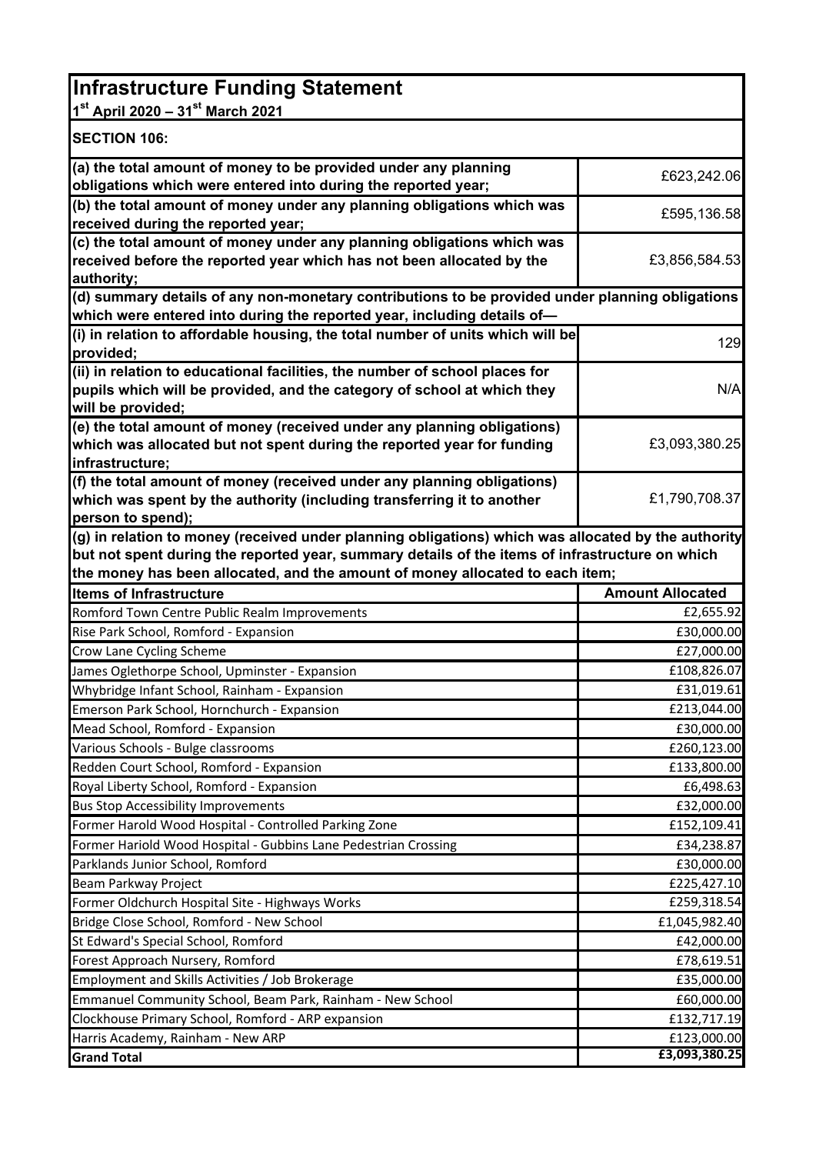| <b>Infrastructure Funding Statement</b>                                                                                                         |                                                                         |
|-------------------------------------------------------------------------------------------------------------------------------------------------|-------------------------------------------------------------------------|
| 1st April 2020 - 31st March 2021                                                                                                                |                                                                         |
| <b>SECTION 106:</b>                                                                                                                             |                                                                         |
| (a) the total amount of money to be provided under any planning                                                                                 | £623,242.06                                                             |
| obligations which were entered into during the reported year;                                                                                   |                                                                         |
| (b) the total amount of money under any planning obligations which was                                                                          | £595,136.58                                                             |
| received during the reported year;                                                                                                              |                                                                         |
| (c) the total amount of money under any planning obligations which was<br>received before the reported year which has not been allocated by the | £3,856,584.53                                                           |
| authority;                                                                                                                                      |                                                                         |
| (d) summary details of any non-monetary contributions to be provided under planning obligations                                                 |                                                                         |
| which were entered into during the reported year, including details of-                                                                         |                                                                         |
| (i) in relation to affordable housing, the total number of units which will be                                                                  | 129                                                                     |
| provided;                                                                                                                                       |                                                                         |
| (ii) in relation to educational facilities, the number of school places for                                                                     |                                                                         |
| pupils which will be provided, and the category of school at which they                                                                         | N/A                                                                     |
| will be provided;                                                                                                                               |                                                                         |
| (e) the total amount of money (received under any planning obligations)                                                                         |                                                                         |
| which was allocated but not spent during the reported year for funding<br>infrastructure;                                                       | £3,093,380.25                                                           |
| (f) the total amount of money (received under any planning obligations)                                                                         |                                                                         |
| which was spent by the authority (including transferring it to another                                                                          | £1,790,708.37                                                           |
| person to spend);                                                                                                                               |                                                                         |
| (g) in relation to money (received under planning obligations) which was allocated by the authority                                             |                                                                         |
|                                                                                                                                                 |                                                                         |
| but not spent during the reported year, summary details of the items of infrastructure on which                                                 |                                                                         |
| the money has been allocated, and the amount of money allocated to each item;                                                                   |                                                                         |
| <b>Items of Infrastructure</b>                                                                                                                  | <b>Amount Allocated</b>                                                 |
| Romford Town Centre Public Realm Improvements                                                                                                   | £2,655.92                                                               |
| Rise Park School, Romford - Expansion                                                                                                           | £30,000.00                                                              |
| Crow Lane Cycling Scheme                                                                                                                        | £27,000.00                                                              |
| James Oglethorpe School, Upminster - Expansion                                                                                                  | £108,826.07                                                             |
| Whybridge Infant School, Rainham - Expansion                                                                                                    | £31,019.61                                                              |
| Emerson Park School, Hornchurch - Expansion                                                                                                     | £213,044.00                                                             |
| Mead School, Romford - Expansion                                                                                                                | £30,000.00                                                              |
| Various Schools - Bulge classrooms                                                                                                              | £260,123.00                                                             |
| Redden Court School, Romford - Expansion                                                                                                        | £133,800.00                                                             |
| Royal Liberty School, Romford - Expansion                                                                                                       | £6,498.63                                                               |
| <b>Bus Stop Accessibility Improvements</b>                                                                                                      | £32,000.00                                                              |
| Former Harold Wood Hospital - Controlled Parking Zone                                                                                           | £152,109.41                                                             |
| Former Hariold Wood Hospital - Gubbins Lane Pedestrian Crossing                                                                                 |                                                                         |
| Parklands Junior School, Romford                                                                                                                | £34,238.87<br>£30,000.00                                                |
| Beam Parkway Project                                                                                                                            |                                                                         |
| Former Oldchurch Hospital Site - Highways Works                                                                                                 |                                                                         |
| Bridge Close School, Romford - New School                                                                                                       |                                                                         |
| St Edward's Special School, Romford                                                                                                             |                                                                         |
| Forest Approach Nursery, Romford                                                                                                                | £225,427.10<br>£259,318.54<br>£1,045,982.40<br>£42,000.00<br>£78,619.51 |
| Employment and Skills Activities / Job Brokerage                                                                                                | £35,000.00                                                              |
| Emmanuel Community School, Beam Park, Rainham - New School                                                                                      | £60,000.00                                                              |
| Clockhouse Primary School, Romford - ARP expansion<br>Harris Academy, Rainham - New ARP                                                         | £132,717.19<br>£123,000.00                                              |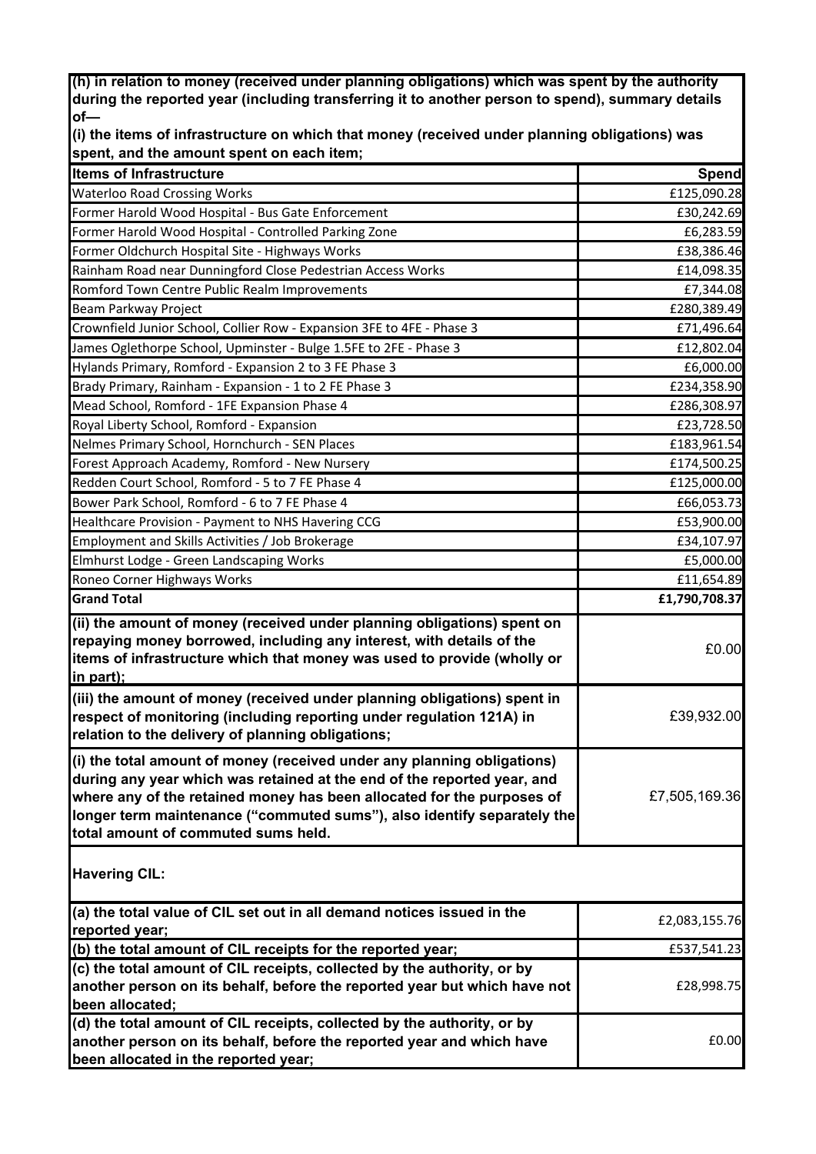**(h) in relation to money (received under planning obligations) which was spent by the authority during the reported year (including transferring it to another person to spend), summary details of—** 

**(i) the items of infrastructure on which that money (received under planning obligations) was spent, and the amount spent on each item;** 

| <b>Items of Infrastructure</b>                                                                                                                                                                                                                                                                                                                 | <b>Spend</b>  |
|------------------------------------------------------------------------------------------------------------------------------------------------------------------------------------------------------------------------------------------------------------------------------------------------------------------------------------------------|---------------|
| <b>Waterloo Road Crossing Works</b>                                                                                                                                                                                                                                                                                                            | £125,090.28   |
| Former Harold Wood Hospital - Bus Gate Enforcement                                                                                                                                                                                                                                                                                             | £30,242.69    |
| Former Harold Wood Hospital - Controlled Parking Zone                                                                                                                                                                                                                                                                                          | £6,283.59     |
| Former Oldchurch Hospital Site - Highways Works                                                                                                                                                                                                                                                                                                | £38,386.46    |
| Rainham Road near Dunningford Close Pedestrian Access Works                                                                                                                                                                                                                                                                                    | £14,098.35    |
| Romford Town Centre Public Realm Improvements                                                                                                                                                                                                                                                                                                  | £7,344.08     |
| Beam Parkway Project                                                                                                                                                                                                                                                                                                                           | £280,389.49   |
| Crownfield Junior School, Collier Row - Expansion 3FE to 4FE - Phase 3                                                                                                                                                                                                                                                                         | £71,496.64    |
| James Oglethorpe School, Upminster - Bulge 1.5FE to 2FE - Phase 3                                                                                                                                                                                                                                                                              | £12,802.04    |
| Hylands Primary, Romford - Expansion 2 to 3 FE Phase 3                                                                                                                                                                                                                                                                                         | £6,000.00     |
| Brady Primary, Rainham - Expansion - 1 to 2 FE Phase 3                                                                                                                                                                                                                                                                                         | £234,358.90   |
| Mead School, Romford - 1FE Expansion Phase 4                                                                                                                                                                                                                                                                                                   | £286,308.97   |
| Royal Liberty School, Romford - Expansion                                                                                                                                                                                                                                                                                                      | £23,728.50    |
| Nelmes Primary School, Hornchurch - SEN Places                                                                                                                                                                                                                                                                                                 | £183,961.54   |
| Forest Approach Academy, Romford - New Nursery                                                                                                                                                                                                                                                                                                 | £174,500.25   |
| Redden Court School, Romford - 5 to 7 FE Phase 4                                                                                                                                                                                                                                                                                               | £125,000.00   |
| Bower Park School, Romford - 6 to 7 FE Phase 4                                                                                                                                                                                                                                                                                                 | £66,053.73    |
| Healthcare Provision - Payment to NHS Havering CCG                                                                                                                                                                                                                                                                                             | £53,900.00    |
| Employment and Skills Activities / Job Brokerage                                                                                                                                                                                                                                                                                               | £34,107.97    |
| Elmhurst Lodge - Green Landscaping Works                                                                                                                                                                                                                                                                                                       | £5,000.00     |
| Roneo Corner Highways Works                                                                                                                                                                                                                                                                                                                    | £11,654.89    |
| <b>Grand Total</b>                                                                                                                                                                                                                                                                                                                             | £1,790,708.37 |
| (ii) the amount of money (received under planning obligations) spent on<br>repaying money borrowed, including any interest, with details of the<br>items of infrastructure which that money was used to provide (wholly or<br>in part);                                                                                                        | £0.00         |
| (iii) the amount of money (received under planning obligations) spent in<br>respect of monitoring (including reporting under regulation 121A) in<br>relation to the delivery of planning obligations;                                                                                                                                          | £39,932.00    |
| (i) the total amount of money (received under any planning obligations)<br>during any year which was retained at the end of the reported year, and<br>where any of the retained money has been allocated for the purposes of<br>longer term maintenance ("commuted sums"), also identify separately the<br>total amount of commuted sums held. | £7,505,169.36 |
| <b>Havering CIL:</b>                                                                                                                                                                                                                                                                                                                           |               |
| (a) the total value of CIL set out in all demand notices issued in the                                                                                                                                                                                                                                                                         | £2,083,155.76 |
| reported year;                                                                                                                                                                                                                                                                                                                                 |               |
| (b) the total amount of CIL receipts for the reported year;                                                                                                                                                                                                                                                                                    | £537,541.23   |
| (c) the total amount of CIL receipts, collected by the authority, or by                                                                                                                                                                                                                                                                        |               |
| another person on its behalf, before the reported year but which have not                                                                                                                                                                                                                                                                      | £28,998.75    |
| been allocated;                                                                                                                                                                                                                                                                                                                                |               |
| (d) the total amount of CIL receipts, collected by the authority, or by<br>another person on its behalf, before the reported year and which have<br>been allocated in the reported year;                                                                                                                                                       | £0.00         |